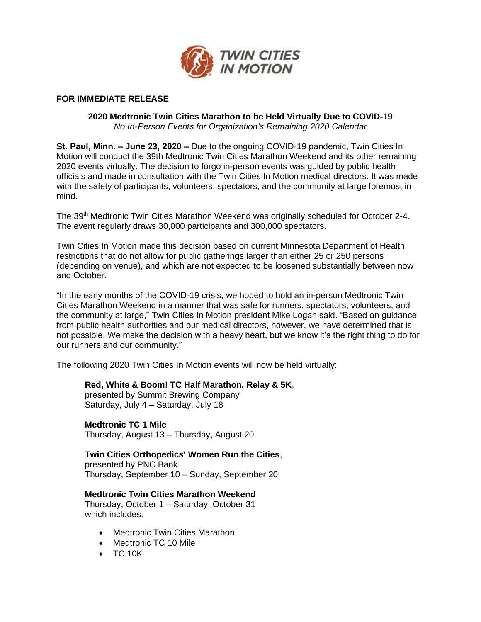

## **FOR IMMEDIATE RELEASE**

## **2020 Medtronic Twin Cities Marathon to be Held Virtually Due to COVID-19** *No In-Person Events for Organization's Remaining 2020 Calendar*

**St. Paul, Minn. – June 23, 2020 –** Due to the ongoing COVID-19 pandemic, Twin Cities In Motion will conduct the 39th Medtronic Twin Cities Marathon Weekend and its other remaining 2020 events virtually. The decision to forgo in-person events was guided by public health officials and made in consultation with the Twin Cities In Motion medical directors. It was made with the safety of participants, volunteers, spectators, and the community at large foremost in mind.

The 39<sup>th</sup> Medtronic Twin Cities Marathon Weekend was originally scheduled for October 2-4. The event regularly draws 30,000 participants and 300,000 spectators.

Twin Cities In Motion made this decision based on current Minnesota Department of Health restrictions that do not allow for public gatherings larger than either 25 or 250 persons (depending on venue), and which are not expected to be loosened substantially between now and October.

"In the early months of the COVID-19 crisis, we hoped to hold an in-person Medtronic Twin Cities Marathon Weekend in a manner that was safe for runners, spectators, volunteers, and the community at large," Twin Cities In Motion president Mike Logan said. "Based on guidance from public health authorities and our medical directors, however, we have determined that is not possible. We make the decision with a heavy heart, but we know it's the right thing to do for our runners and our community."

The following 2020 Twin Cities In Motion events will now be held virtually:

## **Red, White & Boom! TC Half Marathon, Relay & 5K**,

presented by Summit Brewing Company Saturday, July 4 – Saturday, July 18

**Medtronic TC 1 Mile** Thursday, August 13 – Thursday, August 20

**Twin Cities Orthopedics' Women Run the Cities**, presented by PNC Bank

Thursday, September 10 – Sunday, September 20

**Medtronic Twin Cities Marathon Weekend**

Thursday, October 1 – Saturday, October 31 which includes:

- **Medtronic Twin Cities Marathon**
- Medtronic TC 10 Mile
- TC 10K